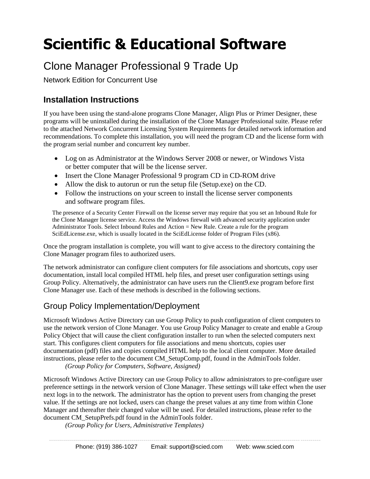# **Scientific & Educational Software**

## Clone Manager Professional 9 Trade Up

Network Edition for Concurrent Use

## **Installation Instructions**

If you have been using the stand-alone programs Clone Manager, Align Plus or Primer Designer, these programs will be uninstalled during the installation of the Clone Manager Professional suite. Please refer to the attached Network Concurrent Licensing System Requirements for detailed network information and recommendations. To complete this installation, you will need the program CD and the license form with the program serial number and concurrent key number.

- Log on as Administrator at the Windows Server 2008 or newer, or Windows Vista or better computer that will be the license server.
- Insert the Clone Manager Professional 9 program CD in CD-ROM drive
- Allow the disk to autorun or run the setup file (Setup.exe) on the CD.
- Follow the instructions on your screen to install the license server components and software program files.

The presence of a Security Center Firewall on the license server may require that you set an Inbound Rule for the Clone Manager license service. Access the Windows firewall with advanced security application under Administrator Tools. Select Inbound Rules and Action = New Rule. Create a rule for the program SciEdLicense.exe, which is usually located in the SciEdLicense folder of Program Files (x86).

Once the program installation is complete, you will want to give access to the directory containing the Clone Manager program files to authorized users.

The network administrator can configure client computers for file associations and shortcuts, copy user documentation, install local compiled HTML help files, and preset user configuration settings using Group Policy. Alternatively, the administrator can have users run the Client9.exe program before first Clone Manager use. Each of these methods is described in the following sections.

## Group Policy Implementation/Deployment

Microsoft Windows Active Directory can use Group Policy to push configuration of client computers to use the network version of Clone Manager. You use Group Policy Manager to create and enable a Group Policy Object that will cause the client configuration installer to run when the selected computers next start. This configures client computers for file associations and menu shortcuts, copies user documentation (pdf) files and copies compiled HTML help to the local client computer. More detailed instructions, please refer to the document CM\_SetupComp.pdf, found in the AdminTools folder. *(Group Policy for Computers, Software, Assigned)*

Microsoft Windows Active Directory can use Group Policy to allow administrators to pre-configure user preference settings in the network version of Clone Manager. These settings will take effect when the user next logs in to the network. The administrator has the option to prevent users from changing the preset value. If the settings are not locked, users can change the preset values at any time from within Clone Manager and thereafter their changed value will be used. For detailed instructions, please refer to the document CM\_SetupPrefs.pdf found in the AdminTools folder.

*(Group Policy for Users, Administrative Templates)*